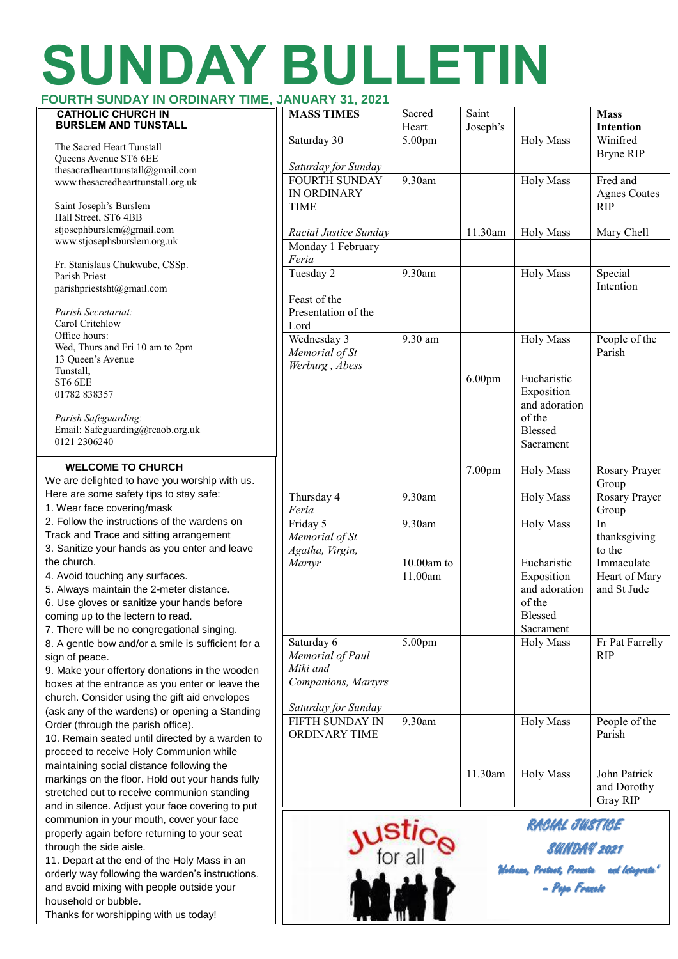# **SUNDAY BULLETIN**

| FOURTH SUNDAY IN ORDINARY TIME, JANUARY 31, 2021                                                                                                                                                                                                                                                                                                                                                                                                                                                              |                                                                                          |                                               |                    |                                                                                     |                                               |
|---------------------------------------------------------------------------------------------------------------------------------------------------------------------------------------------------------------------------------------------------------------------------------------------------------------------------------------------------------------------------------------------------------------------------------------------------------------------------------------------------------------|------------------------------------------------------------------------------------------|-----------------------------------------------|--------------------|-------------------------------------------------------------------------------------|-----------------------------------------------|
| <b>CATHOLIC CHURCH IN</b><br><b>BURSLEM AND TUNSTALL</b>                                                                                                                                                                                                                                                                                                                                                                                                                                                      | <b>MASS TIMES</b>                                                                        | Sacred<br>Heart                               | Saint<br>Joseph's  |                                                                                     | <b>Mass</b><br>Intention                      |
| The Sacred Heart Tunstall<br>Queens Avenue ST6 6EE<br>thesacredhearttunstall@gmail.com                                                                                                                                                                                                                                                                                                                                                                                                                        | Saturday 30<br>Saturday for Sunday                                                       | 5.00pm                                        |                    | <b>Holy Mass</b>                                                                    | Winifred<br><b>Bryne RIP</b>                  |
| www.thesacredhearttunstall.org.uk<br>Saint Joseph's Burslem                                                                                                                                                                                                                                                                                                                                                                                                                                                   | <b>FOURTH SUNDAY</b><br>IN ORDINARY<br><b>TIME</b>                                       | 9.30am                                        |                    | <b>Holy Mass</b>                                                                    | Fred and<br><b>Agnes Coates</b><br><b>RIP</b> |
| Hall Street, ST6 4BB<br>stjosephburslem@gmail.com                                                                                                                                                                                                                                                                                                                                                                                                                                                             | Racial Justice Sunday                                                                    |                                               | 11.30am            | <b>Holy Mass</b>                                                                    | Mary Chell                                    |
| www.stjosephsburslem.org.uk                                                                                                                                                                                                                                                                                                                                                                                                                                                                                   | Monday 1 February<br>Feria                                                               |                                               |                    |                                                                                     |                                               |
| Fr. Stanislaus Chukwube, CSSp.<br>Parish Priest<br>parishpriestsht@gmail.com                                                                                                                                                                                                                                                                                                                                                                                                                                  | Tuesday 2                                                                                | 9.30am                                        |                    | <b>Holy Mass</b>                                                                    | Special<br>Intention                          |
| Parish Secretariat:<br>Carol Critchlow                                                                                                                                                                                                                                                                                                                                                                                                                                                                        | Feast of the<br>Presentation of the<br>Lord                                              |                                               |                    |                                                                                     |                                               |
| Office hours:<br>Wed, Thurs and Fri 10 am to 2pm<br>13 Queen's Avenue                                                                                                                                                                                                                                                                                                                                                                                                                                         | Wednesday 3<br>Memorial of St<br>Werburg, Abess                                          | 9.30 am                                       |                    | <b>Holy Mass</b>                                                                    | People of the<br>Parish                       |
| Tunstall,<br>ST6 6EE<br>01782 838357<br>Parish Safeguarding:<br>Email: Safeguarding@rcaob.org.uk                                                                                                                                                                                                                                                                                                                                                                                                              |                                                                                          |                                               | 6.00pm             | Eucharistic<br>Exposition<br>and adoration<br>of the<br><b>Blessed</b>              |                                               |
| 0121 2306240<br><b>WELCOME TO CHURCH</b>                                                                                                                                                                                                                                                                                                                                                                                                                                                                      |                                                                                          |                                               | 7.00pm             | Sacrament<br><b>Holy Mass</b>                                                       | Rosary Prayer                                 |
| We are delighted to have you worship with us.<br>Here are some safety tips to stay safe:                                                                                                                                                                                                                                                                                                                                                                                                                      | Thursday 4                                                                               | 9.30am                                        |                    | <b>Holy Mass</b>                                                                    | Group<br>Rosary Prayer                        |
| 1. Wear face covering/mask                                                                                                                                                                                                                                                                                                                                                                                                                                                                                    | Feria                                                                                    |                                               |                    |                                                                                     | Group                                         |
| 2. Follow the instructions of the wardens on<br>Track and Trace and sitting arrangement<br>3. Sanitize your hands as you enter and leave                                                                                                                                                                                                                                                                                                                                                                      | Friday 5<br>Memorial of St<br>Agatha, Virgin,                                            | 9.30am                                        |                    | <b>Holy Mass</b>                                                                    | In<br>thanksgiving<br>to the                  |
| the church.<br>4. Avoid touching any surfaces.<br>5. Always maintain the 2-meter distance.<br>6. Use gloves or sanitize your hands before<br>coming up to the lectern to read.<br>7. There will be no congregational singing.<br>8. A gentle bow and/or a smile is sufficient for a<br>sign of peace.<br>9. Make your offertory donations in the wooden<br>boxes at the entrance as you enter or leave the<br>church. Consider using the gift aid envelopes<br>(ask any of the wardens) or opening a Standing | Martyr                                                                                   | $10.00$ am to<br>11.00am                      |                    | Eucharistic<br>Exposition<br>and adoration<br>of the<br><b>Blessed</b><br>Sacrament | Immaculate<br>Heart of Mary<br>and St Jude    |
|                                                                                                                                                                                                                                                                                                                                                                                                                                                                                                               | Saturday 6<br>Memorial of Paul<br>Miki and<br>Companions, Martyrs<br>Saturday for Sunday | 5.00pm                                        |                    | <b>Holy Mass</b>                                                                    | Fr Pat Farrelly<br><b>RIP</b>                 |
| Order (through the parish office).<br>10. Remain seated until directed by a warden to<br>proceed to receive Holy Communion while<br>maintaining social distance following the                                                                                                                                                                                                                                                                                                                                 | <b>FIFTH SUNDAY IN</b><br><b>ORDINARY TIME</b>                                           | 9.30am                                        |                    | <b>Holy Mass</b>                                                                    | People of the<br>Parish                       |
| markings on the floor. Hold out your hands fully<br>stretched out to receive communion standing<br>and in silence. Adjust your face covering to put                                                                                                                                                                                                                                                                                                                                                           |                                                                                          |                                               | 11.30am            | <b>Holy Mass</b>                                                                    | John Patrick<br>and Dorothy<br>Gray RIP       |
| communion in your mouth, cover your face<br>properly again before returning to your seat                                                                                                                                                                                                                                                                                                                                                                                                                      |                                                                                          |                                               | RACIAL JUSTICE     |                                                                                     |                                               |
| through the side aisle.<br>11. Depart at the end of the Holy Mass in an                                                                                                                                                                                                                                                                                                                                                                                                                                       |                                                                                          | <b>ustic<sub>e</sub></b>                      | <b>SUNDAY 2021</b> |                                                                                     |                                               |
| orderly way following the warden's instructions,<br>and avoid mixing with people outside your<br>household or bubble.<br>Thanks for worshipping with us today!                                                                                                                                                                                                                                                                                                                                                |                                                                                          | Walacica, Postact, Posicita<br>- Popo Francie |                    |                                                                                     |                                               |